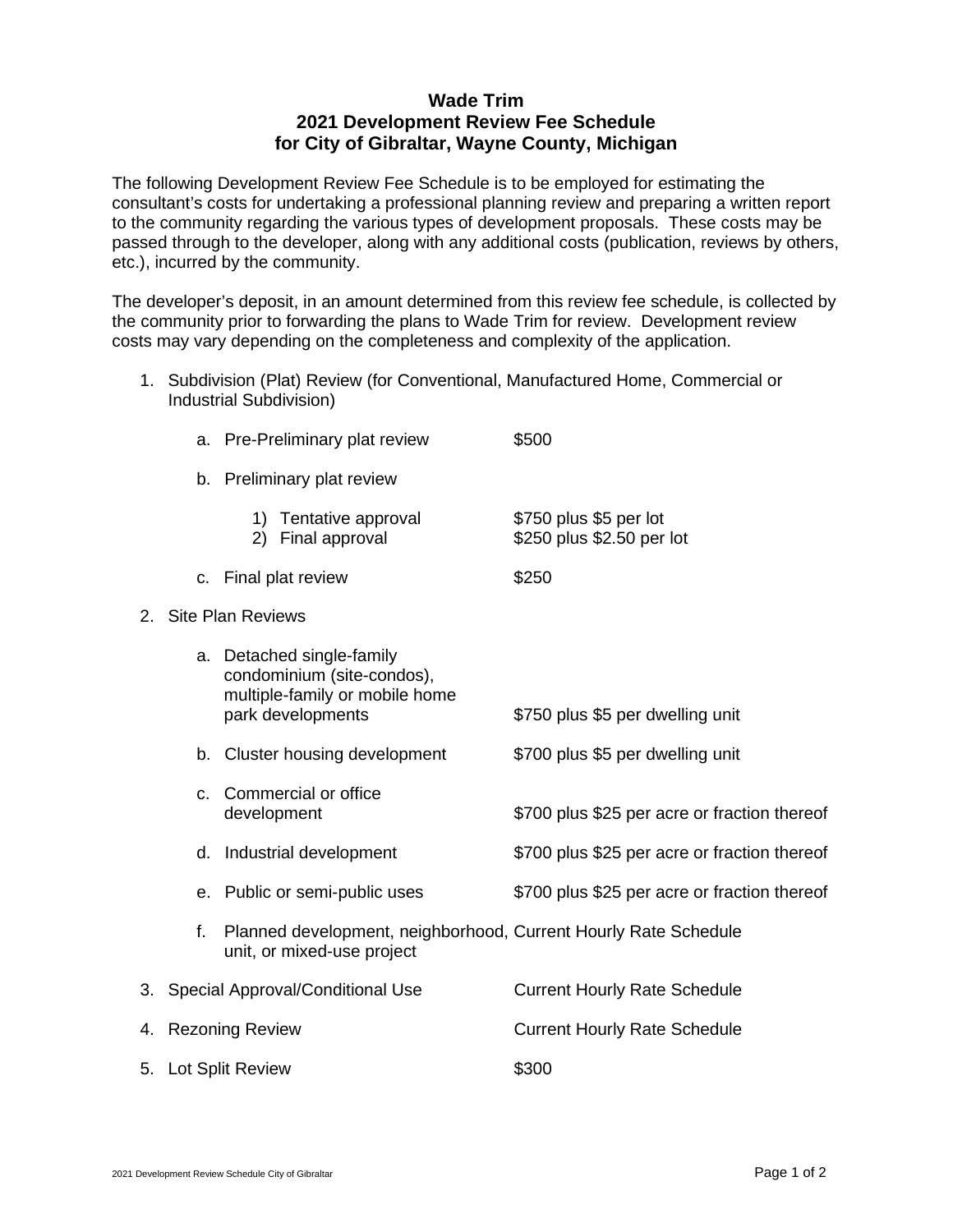## **Wade Trim 2021 Development Review Fee Schedule for City of Gibraltar, Wayne County, Michigan**

The following Development Review Fee Schedule is to be employed for estimating the consultant's costs for undertaking a professional planning review and preparing a written report to the community regarding the various types of development proposals. These costs may be passed through to the developer, along with any additional costs (publication, reviews by others, etc.), incurred by the community.

The developer's deposit, in an amount determined from this review fee schedule, is collected by the community prior to forwarding the plans to Wade Trim for review. Development review costs may vary depending on the completeness and complexity of the application.

1. Subdivision (Plat) Review (for Conventional, Manufactured Home, Commercial or Industrial Subdivision)

|    | a.                       | Pre-Preliminary plat review                                                                                    | \$500                                               |
|----|--------------------------|----------------------------------------------------------------------------------------------------------------|-----------------------------------------------------|
|    | b.                       | Preliminary plat review                                                                                        |                                                     |
|    |                          | 1) Tentative approval<br>2) Final approval                                                                     | \$750 plus \$5 per lot<br>\$250 plus \$2.50 per lot |
|    |                          | c. Final plat review                                                                                           | \$250                                               |
| 2. | <b>Site Plan Reviews</b> |                                                                                                                |                                                     |
|    |                          | a. Detached single-family<br>condominium (site-condos),<br>multiple-family or mobile home<br>park developments | \$750 plus \$5 per dwelling unit                    |
|    |                          | b. Cluster housing development                                                                                 | \$700 plus \$5 per dwelling unit                    |
|    | C.                       | Commercial or office<br>development                                                                            | \$700 plus \$25 per acre or fraction thereof        |
|    |                          | d. Industrial development                                                                                      | \$700 plus \$25 per acre or fraction thereof        |
|    |                          | e. Public or semi-public uses                                                                                  | \$700 plus \$25 per acre or fraction thereof        |
|    | f.                       | Planned development, neighborhood, Current Hourly Rate Schedule<br>unit, or mixed-use project                  |                                                     |
| 3. |                          | Special Approval/Conditional Use                                                                               | <b>Current Hourly Rate Schedule</b>                 |
|    | 4. Rezoning Review       |                                                                                                                | <b>Current Hourly Rate Schedule</b>                 |
|    |                          | 5. Lot Split Review                                                                                            | \$300                                               |